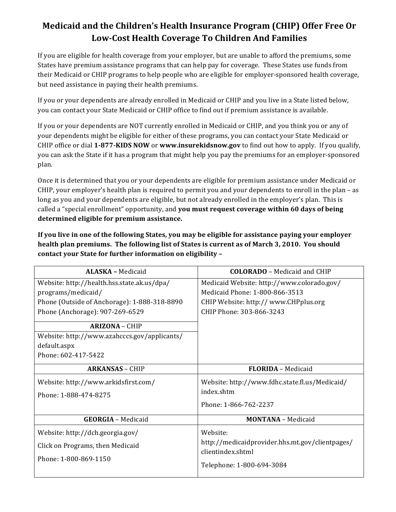## **Medicaid and the Children's Health Insurance Program (CHIP) Offer Free Or** Low-Cost Health Coverage To Children And Families

If you are eligible for health coverage from your employer, but are unable to afford the premiums, some States have premium assistance programs that can help pay for coverage. These States use funds from their Medicaid or CHIP programs to help people who are eligible for employer-sponsored health coverage, but need assistance in paying their health premiums.

If you or your dependents are already enrolled in Medicaid or CHIP and you live in a State listed below, you can contact your State Medicaid or CHIP office to find out if premium assistance is available.

If you or your dependents are NOT currently enrolled in Medicaid or CHIP, and you think you or any of your dependents might be eligible for either of these programs, you can contact your State Medicaid or CHIP office or dial **1-877-KIDS NOW** or **www.insurekidsnow.gov** to find out how to apply. If you qualify, you can ask the State if it has a program that might help you pay the premiums for an employer-sponsored plan. 

Once it is determined that you or your dependents are eligible for premium assistance under Medicaid or CHIP, your employer's health plan is required to permit you and your dependents to enroll in the plan - as long as you and your dependents are eligible, but not already enrolled in the employer's plan. This is called a "special enrollment" opportunity, and **you must request coverage within 60 days of being** determined eligible for premium assistance.

If you live in one of the following States, you may be eligible for assistance paying your employer health plan premiums. The following list of States is current as of March 3, 2010. You should contact your State for further information on eligibility -

| <b>ALASKA - Medicaid</b>                                                                                                                                                                                                                                             | <b>COLORADO</b> – Medicaid and CHIP                                                                                                              |
|----------------------------------------------------------------------------------------------------------------------------------------------------------------------------------------------------------------------------------------------------------------------|--------------------------------------------------------------------------------------------------------------------------------------------------|
| Website: http://health.hss.state.ak.us/dpa/<br>programs/medicaid/<br>Phone (Outside of Anchorage): 1-888-318-8890<br>Phone (Anchorage): 907-269-6529<br><b>ARIZONA - CHIP</b><br>Website: http://www.azahcccs.gov/applicants/<br>default.aspx<br>Phone: 602-417-5422 | Medicaid Website: http://www.colorado.gov/<br>Medicaid Phone: 1-800-866-3513<br>CHIP Website: http://www.CHPplus.org<br>CHIP Phone: 303-866-3243 |
| <b>ARKANSAS - CHIP</b>                                                                                                                                                                                                                                               | <b>FLORIDA</b> - Medicaid                                                                                                                        |
| Website: http://www.arkidsfirst.com/<br>Phone: 1-888-474-8275                                                                                                                                                                                                        | Website: http://www.fdhc.state.fl.us/Medicaid/<br>index.shtm<br>Phone: 1-866-762-2237                                                            |
| <b>GEORGIA - Medicaid</b>                                                                                                                                                                                                                                            | <b>MONTANA</b> - Medicaid                                                                                                                        |
| Website: http://dch.georgia.gov/<br>Click on Programs, then Medicaid<br>Phone: 1-800-869-1150                                                                                                                                                                        | Website:<br>http://medicaidprovider.hhs.mt.gov/clientpages/<br>clientindex.shtml<br>Telephone: 1-800-694-3084                                    |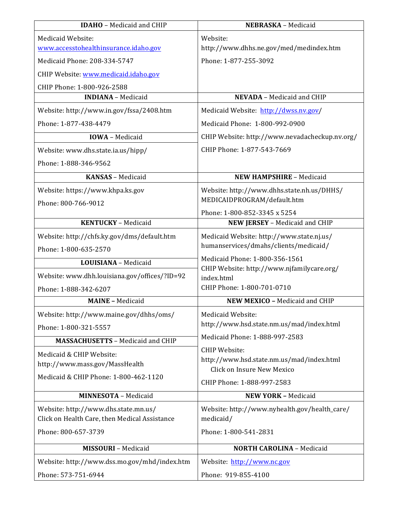| <b>IDAHO</b> - Medicaid and CHIP              | NEBRASKA - Medicaid                                                     |
|-----------------------------------------------|-------------------------------------------------------------------------|
| Medicaid Website:                             | Website:                                                                |
| www.accesstohealthinsurance.idaho.gov         | http://www.dhhs.ne.gov/med/medindex.htm                                 |
| Medicaid Phone: 208-334-5747                  | Phone: 1-877-255-3092                                                   |
| CHIP Website: www.medicaid.idaho.gov          |                                                                         |
| CHIP Phone: 1-800-926-2588                    |                                                                         |
| <b>INDIANA</b> - Medicaid                     | <b>NEVADA</b> - Medicaid and CHIP                                       |
| Website: http://www.in.gov/fssa/2408.htm      | Medicaid Website: http://dwss.nv.gov/                                   |
| Phone: 1-877-438-4479                         | Medicaid Phone: 1-800-992-0900                                          |
| <b>IOWA</b> - Medicaid                        | CHIP Website: http://www.nevadacheckup.nv.org/                          |
| Website: www.dhs.state.ia.us/hipp/            | CHIP Phone: 1-877-543-7669                                              |
| Phone: 1-888-346-9562                         |                                                                         |
| <b>KANSAS</b> - Medicaid                      | <b>NEW HAMPSHIRE - Medicaid</b>                                         |
| Website: https://www.khpa.ks.gov              | Website: http://www.dhhs.state.nh.us/DHHS/                              |
| Phone: 800-766-9012                           | MEDICAIDPROGRAM/default.htm                                             |
|                                               | Phone: 1-800-852-3345 x 5254                                            |
| <b>KENTUCKY</b> - Medicaid                    | NEW JERSEY - Medicaid and CHIP                                          |
| Website: http://chfs.ky.gov/dms/default.htm   | Medicaid Website: http://www.state.nj.us/                               |
| Phone: 1-800-635-2570                         | humanservices/dmahs/clients/medicaid/                                   |
| LOUISIANA - Medicaid                          | Medicaid Phone: 1-800-356-1561                                          |
| Website: www.dhh.louisiana.gov/offices/?ID=92 | CHIP Website: http://www.njfamilycare.org/<br>index.html                |
| Phone: 1-888-342-6207                         | CHIP Phone: 1-800-701-0710                                              |
| <b>MAINE - Medicaid</b>                       | NEW MEXICO - Medicaid and CHIP                                          |
| Website: http://www.maine.gov/dhhs/oms/       | Medicaid Website:                                                       |
| Phone: 1-800-321-5557                         | http://www.hsd.state.nm.us/mad/index.html                               |
| <b>MASSACHUSETTS - Medicaid and CHIP</b>      | Medicaid Phone: 1-888-997-2583                                          |
| Medicaid & CHIP Website:                      | <b>CHIP Website:</b>                                                    |
| http://www.mass.gov/MassHealth                | http://www.hsd.state.nm.us/mad/index.html<br>Click on Insure New Mexico |
| Medicaid & CHIP Phone: 1-800-462-1120         | CHIP Phone: 1-888-997-2583                                              |
| <b>MINNESOTA</b> - Medicaid                   | <b>NEW YORK - Medicaid</b>                                              |
| Website: http://www.dhs.state.mn.us/          | Website: http://www.nyhealth.gov/health_care/                           |
| Click on Health Care, then Medical Assistance | medicaid/                                                               |
| Phone: 800-657-3739                           | Phone: 1-800-541-2831                                                   |
| <b>MISSOURI</b> - Medicaid                    | <b>NORTH CAROLINA - Medicaid</b>                                        |
| Website: http://www.dss.mo.gov/mhd/index.htm  | Website: http://www.nc.gov                                              |
| Phone: 573-751-6944                           | Phone: 919-855-4100                                                     |